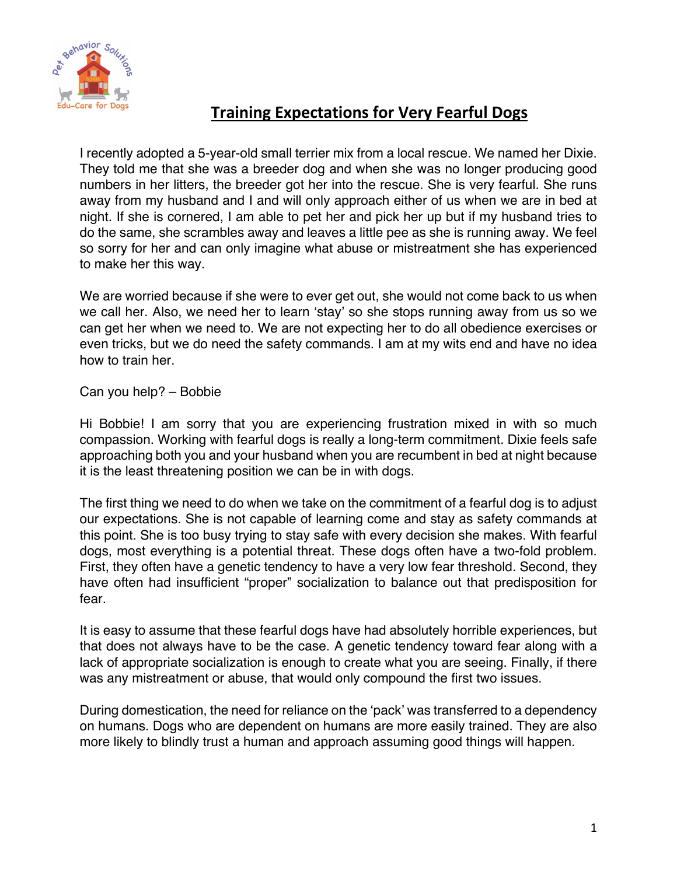

## **Training Expectations for Very Fearful Dogs**

I recently adopted a 5-year-old small terrier mix from a local rescue. We named her Dixie. They told me that she was a breeder dog and when she was no longer producing good numbers in her litters, the breeder got her into the rescue. She is very fearful. She runs away from my husband and I and will only approach either of us when we are in bed at night. If she is cornered, I am able to pet her and pick her up but if my husband tries to do the same, she scrambles away and leaves a little pee as she is running away. We feel so sorry for her and can only imagine what abuse or mistreatment she has experienced to make her this way.

We are worried because if she were to ever get out, she would not come back to us when we call her. Also, we need her to learn 'stay' so she stops running away from us so we can get her when we need to. We are not expecting her to do all obedience exercises or even tricks, but we do need the safety commands. I am at my wits end and have no idea how to train her.

Can you help? – Bobbie

Hi Bobbie! I am sorry that you are experiencing frustration mixed in with so much compassion. Working with fearful dogs is really a long-term commitment. Dixie feels safe approaching both you and your husband when you are recumbent in bed at night because it is the least threatening position we can be in with dogs.

The first thing we need to do when we take on the commitment of a fearful dog is to adjust our expectations. She is not capable of learning come and stay as safety commands at this point. She is too busy trying to stay safe with every decision she makes. With fearful dogs, most everything is a potential threat. These dogs often have a two-fold problem. First, they often have a genetic tendency to have a very low fear threshold. Second, they have often had insufficient "proper" socialization to balance out that predisposition for fear.

It is easy to assume that these fearful dogs have had absolutely horrible experiences, but that does not always have to be the case. A genetic tendency toward fear along with a lack of appropriate socialization is enough to create what you are seeing. Finally, if there was any mistreatment or abuse, that would only compound the first two issues.

During domestication, the need for reliance on the 'pack' was transferred to a dependency on humans. Dogs who are dependent on humans are more easily trained. They are also more likely to blindly trust a human and approach assuming good things will happen.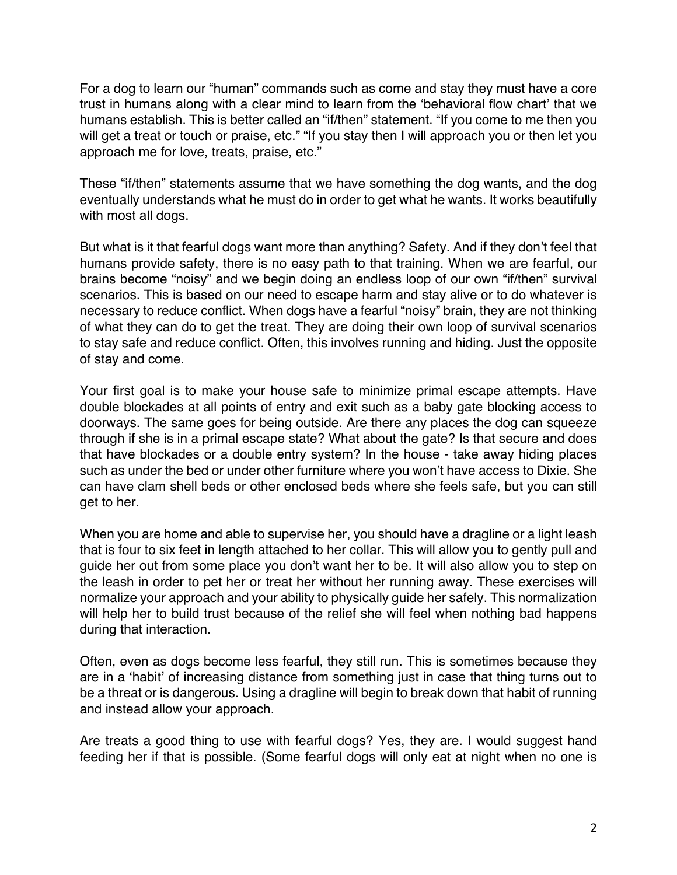For a dog to learn our "human" commands such as come and stay they must have a core trust in humans along with a clear mind to learn from the 'behavioral flow chart' that we humans establish. This is better called an "if/then" statement. "If you come to me then you will get a treat or touch or praise, etc." "If you stay then I will approach you or then let you approach me for love, treats, praise, etc."

These "if/then" statements assume that we have something the dog wants, and the dog eventually understands what he must do in order to get what he wants. It works beautifully with most all dogs.

But what is it that fearful dogs want more than anything? Safety. And if they don't feel that humans provide safety, there is no easy path to that training. When we are fearful, our brains become "noisy" and we begin doing an endless loop of our own "if/then" survival scenarios. This is based on our need to escape harm and stay alive or to do whatever is necessary to reduce conflict. When dogs have a fearful "noisy" brain, they are not thinking of what they can do to get the treat. They are doing their own loop of survival scenarios to stay safe and reduce conflict. Often, this involves running and hiding. Just the opposite of stay and come.

Your first goal is to make your house safe to minimize primal escape attempts. Have double blockades at all points of entry and exit such as a baby gate blocking access to doorways. The same goes for being outside. Are there any places the dog can squeeze through if she is in a primal escape state? What about the gate? Is that secure and does that have blockades or a double entry system? In the house - take away hiding places such as under the bed or under other furniture where you won't have access to Dixie. She can have clam shell beds or other enclosed beds where she feels safe, but you can still get to her.

When you are home and able to supervise her, you should have a dragline or a light leash that is four to six feet in length attached to her collar. This will allow you to gently pull and guide her out from some place you don't want her to be. It will also allow you to step on the leash in order to pet her or treat her without her running away. These exercises will normalize your approach and your ability to physically guide her safely. This normalization will help her to build trust because of the relief she will feel when nothing bad happens during that interaction.

Often, even as dogs become less fearful, they still run. This is sometimes because they are in a 'habit' of increasing distance from something just in case that thing turns out to be a threat or is dangerous. Using a dragline will begin to break down that habit of running and instead allow your approach.

Are treats a good thing to use with fearful dogs? Yes, they are. I would suggest hand feeding her if that is possible. (Some fearful dogs will only eat at night when no one is